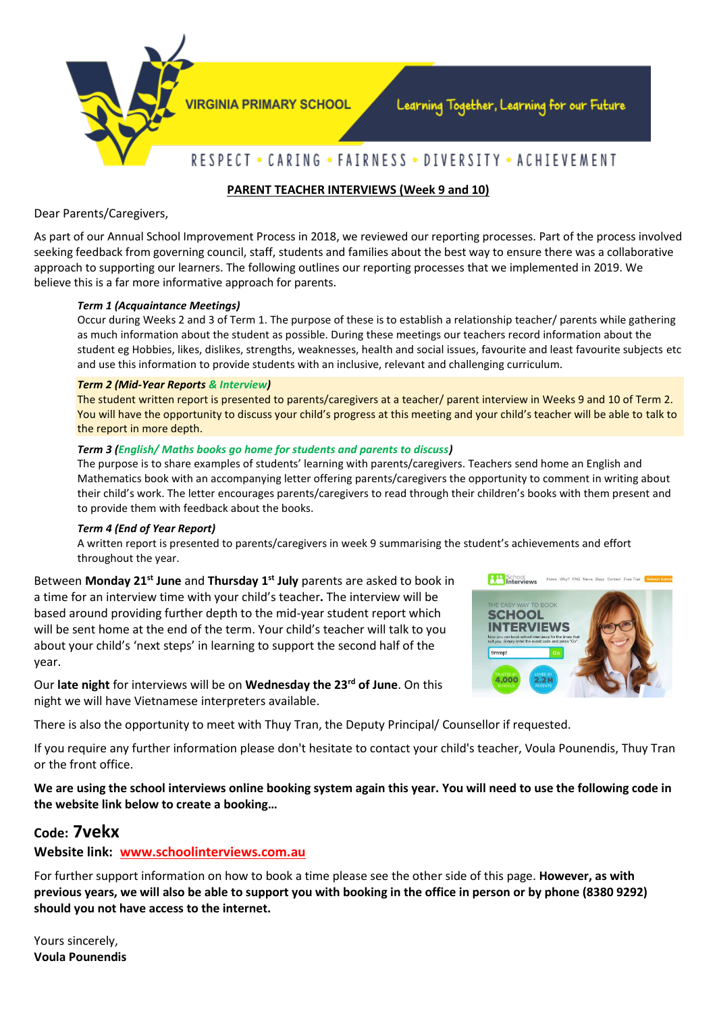

**IRGINIA PRIMARY SCHOOL** 

# RESPECT • CARING • FAIRNESS • DIVERSITY • ACHIEVEMENT

#### **PARENT TEACHER INTERVIEWS (Week 9 and 10)**

#### Dear Parents/Caregivers,

As part of our Annual School Improvement Process in 2018, we reviewed our reporting processes. Part of the process involved seeking feedback from governing council, staff, students and families about the best way to ensure there was a collaborative approach to supporting our learners. The following outlines our reporting processes that we implemented in 2019. We believe this is a far more informative approach for parents.

#### *Term 1 (Acquaintance Meetings)*

Occur during Weeks 2 and 3 of Term 1. The purpose of these is to establish a relationship teacher/ parents while gathering as much information about the student as possible. During these meetings our teachers record information about the student eg Hobbies, likes, dislikes, strengths, weaknesses, health and social issues, favourite and least favourite subjects etc and use this information to provide students with an inclusive, relevant and challenging curriculum.

#### *Term 2 (Mid-Year Reports & Interview)*

The student written report is presented to parents/caregivers at a teacher/ parent interview in Weeks 9 and 10 of Term 2. You will have the opportunity to discuss your child's progress at this meeting and your child's teacher will be able to talk to the report in more depth.

#### *Term 3 (English/ Maths books go home for students and parents to discuss)*

The purpose is to share examples of students' learning with parents/caregivers. Teachers send home an English and Mathematics book with an accompanying letter offering parents/caregivers the opportunity to comment in writing about their child's work. The letter encourages parents/caregivers to read through their children's books with them present and to provide them with feedback about the books.

#### *Term 4 (End of Year Report)*

A written report is presented to parents/caregivers in week 9 summarising the student's achievements and effort throughout the year.

Between Monday 21<sup>st</sup> June and Thursday 1<sup>st</sup> July parents are asked to book in a time for an interview time with your child's teacher**.** The interview will be based around providing further depth to the mid-year student report which will be sent home at the end of the term. Your child's teacher will talk to you about your child's 'next steps' in learning to support the second half of the year.

Our **late night** for interviews will be on **Wednesday the 23 rd of June**. On this night we will have Vietnamese interpreters available.



There is also the opportunity to meet with Thuy Tran, the Deputy Principal/ Counsellor if requested.

If you require any further information please don't hesitate to contact your child's teacher, Voula Pounendis, Thuy Tran or the front office.

**We are using the school interviews online booking system again this year. You will need to use the following code in the website link below to create a booking…**

## **Code: 7vekx**

## **Website link: [www.schoolinterviews.com.au](http://www.schoolinterviews.com.au/)**

For further support information on how to book a time please see the other side of this page. **However, as with previous years, we will also be able to support you with booking in the office in person or by phone (8380 9292) should you not have access to the internet.**

Yours sincerely, **Voula Pounendis**